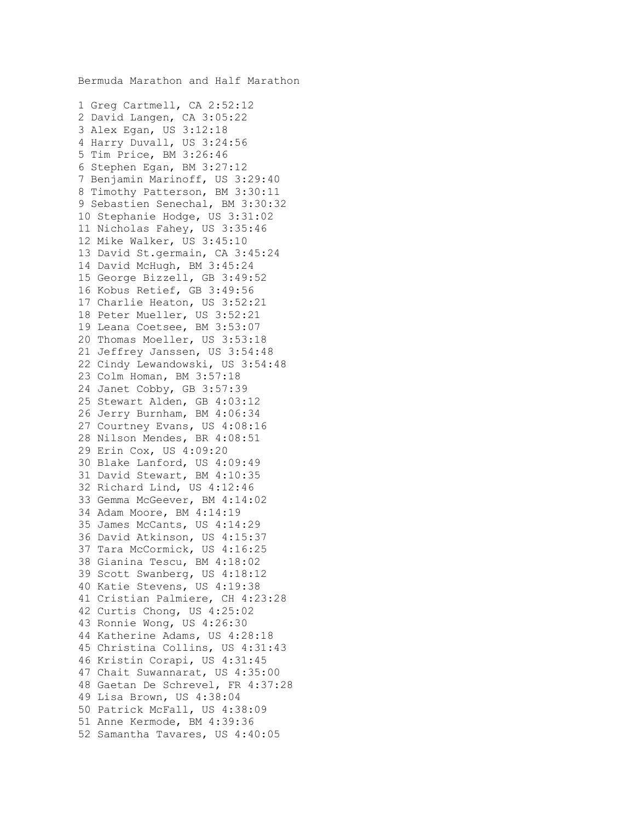Bermuda Marathon and Half Marathon 1 Greg Cartmell, CA 2:52:12 2 David Langen, CA 3:05:22 3 Alex Egan, US 3:12:18 4 Harry Duvall, US 3:24:56 5 Tim Price, BM 3:26:46 6 Stephen Egan, BM 3:27:12 7 Benjamin Marinoff, US 3:29:40 8 Timothy Patterson, BM 3:30:11 9 Sebastien Senechal, BM 3:30:32 10 Stephanie Hodge, US 3:31:02 11 Nicholas Fahey, US 3:35:46 12 Mike Walker, US 3:45:10 13 David St.germain, CA 3:45:24 14 David McHugh, BM 3:45:24 15 George Bizzell, GB 3:49:52 16 Kobus Retief, GB 3:49:56 17 Charlie Heaton, US 3:52:21 18 Peter Mueller, US 3:52:21 19 Leana Coetsee, BM 3:53:07 20 Thomas Moeller, US 3:53:18 21 Jeffrey Janssen, US 3:54:48 22 Cindy Lewandowski, US 3:54:48 23 Colm Homan, BM 3:57:18 24 Janet Cobby, GB 3:57:39 25 Stewart Alden, GB 4:03:12 26 Jerry Burnham, BM 4:06:34 27 Courtney Evans, US 4:08:16 28 Nilson Mendes, BR 4:08:51 29 Erin Cox, US 4:09:20 30 Blake Lanford, US 4:09:49 31 David Stewart, BM 4:10:35 32 Richard Lind, US 4:12:46 33 Gemma McGeever, BM 4:14:02 34 Adam Moore, BM 4:14:19 35 James McCants, US 4:14:29 36 David Atkinson, US 4:15:37 37 Tara McCormick, US 4:16:25 38 Gianina Tescu, BM 4:18:02 39 Scott Swanberg, US 4:18:12 40 Katie Stevens, US 4:19:38 41 Cristian Palmiere, CH 4:23:28 42 Curtis Chong, US 4:25:02 43 Ronnie Wong, US 4:26:30 44 Katherine Adams, US 4:28:18 45 Christina Collins, US 4:31:43 46 Kristin Corapi, US 4:31:45 47 Chait Suwannarat, US 4:35:00 48 Gaetan De Schrevel, FR 4:37:28 49 Lisa Brown, US 4:38:04 50 Patrick McFall, US 4:38:09 51 Anne Kermode, BM 4:39:36 52 Samantha Tavares, US 4:40:05